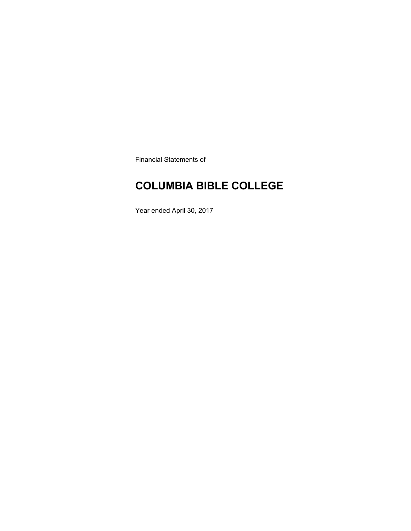Financial Statements of

### **COLUMBIA BIBLE COLLEGE**

Year ended April 30, 2017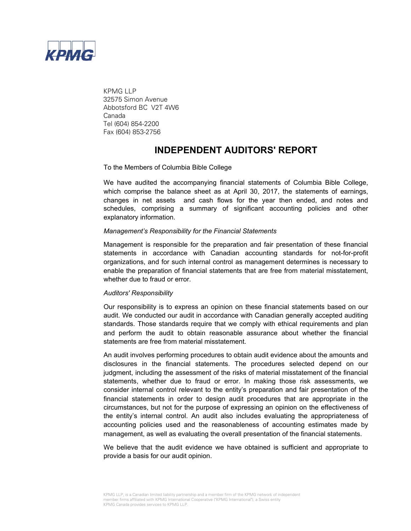

KPMG LLP 32575 Simon Avenue Abbotsford BC V2T 4W6 Canada Tel (604) 854-2200 Fax (604) 853-2756

### **INDEPENDENT AUDITORS' REPORT**

To the Members of Columbia Bible College

We have audited the accompanying financial statements of Columbia Bible College, which comprise the balance sheet as at April 30, 2017, the statements of earnings, changes in net assets and cash flows for the year then ended, and notes and schedules, comprising a summary of significant accounting policies and other explanatory information.

#### *Management's Responsibility for the Financial Statements*

Management is responsible for the preparation and fair presentation of these financial statements in accordance with Canadian accounting standards for not-for-profit organizations, and for such internal control as management determines is necessary to enable the preparation of financial statements that are free from material misstatement, whether due to fraud or error.

#### *Auditors' Responsibility*

Our responsibility is to express an opinion on these financial statements based on our audit. We conducted our audit in accordance with Canadian generally accepted auditing standards. Those standards require that we comply with ethical requirements and plan and perform the audit to obtain reasonable assurance about whether the financial statements are free from material misstatement.

An audit involves performing procedures to obtain audit evidence about the amounts and disclosures in the financial statements. The procedures selected depend on our judgment, including the assessment of the risks of material misstatement of the financial statements, whether due to fraud or error. In making those risk assessments, we consider internal control relevant to the entity's preparation and fair presentation of the financial statements in order to design audit procedures that are appropriate in the circumstances, but not for the purpose of expressing an opinion on the effectiveness of the entity's internal control. An audit also includes evaluating the appropriateness of accounting policies used and the reasonableness of accounting estimates made by management, as well as evaluating the overall presentation of the financial statements.

We believe that the audit evidence we have obtained is sufficient and appropriate to provide a basis for our audit opinion.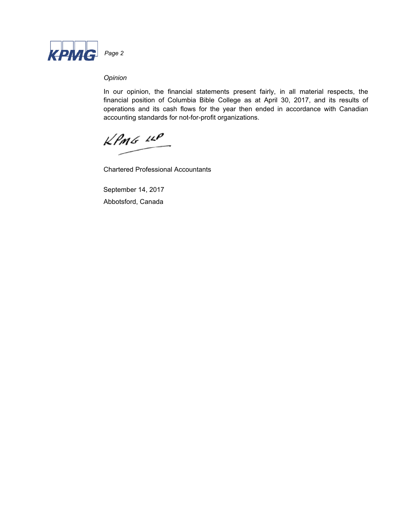

*Opinion*

In our opinion, the financial statements present fairly, in all material respects, the financial position of Columbia Bible College as at April 30, 2017, and its results of operations and its cash flows for the year then ended in accordance with Canadian accounting standards for not-for-profit organizations.

 $kPm6$  12 $P$ 

Chartered Professional Accountants

September 14, 2017 Abbotsford, Canada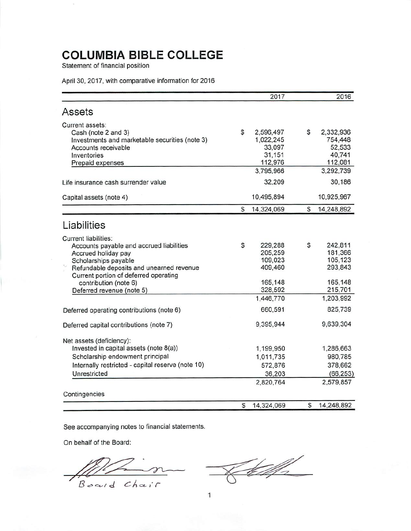Statement of financial position

April 30, 2017, with comparative information for 2016

|                                                                                                                                                                                                                                                                   |    | 2017                                                           |    | 2016                                                                        |
|-------------------------------------------------------------------------------------------------------------------------------------------------------------------------------------------------------------------------------------------------------------------|----|----------------------------------------------------------------|----|-----------------------------------------------------------------------------|
| Assets                                                                                                                                                                                                                                                            |    |                                                                |    |                                                                             |
| Current assets:<br>Cash (note 2 and 3)<br>Investments and marketable securities (note 3)<br>Accounts receivable<br>Inventories<br>Prepaid expenses                                                                                                                | \$ | 2,596,497<br>1,022,245<br>33,097<br>31,151<br>112,976          | S  | 2,332,936<br>754,448<br>52,533<br>40,741<br>112,081                         |
|                                                                                                                                                                                                                                                                   |    | 3,795,966                                                      |    | 3,292,739                                                                   |
| Life insurance cash surrender value                                                                                                                                                                                                                               |    | 32,209                                                         |    | 30,186                                                                      |
| Capital assets (note 4)                                                                                                                                                                                                                                           |    | 10,495,894                                                     |    | 10,925,967                                                                  |
|                                                                                                                                                                                                                                                                   | S  | 14,324,069                                                     | S  | 14,248,892                                                                  |
| Liabilities                                                                                                                                                                                                                                                       |    |                                                                |    |                                                                             |
| <b>Current liabilities:</b><br>Accounts payable and accrued liabilities<br>Accrued holiday pay<br>Scholarships payable<br>Refundable deposits and unearned revenue<br>Current portion of deferred operating<br>contribution (note 6)<br>Deferred revenue (note 5) | \$ | 229,288<br>205,259<br>109,023<br>409,460<br>165,148<br>328,592 | S  | 242,811<br>181,366<br>105,123<br>293,843<br>165,148<br>215,701<br>1,203,992 |
| Deferred operating contributions (note 6)                                                                                                                                                                                                                         |    | 1,446,770<br>660,591                                           |    | 825,739                                                                     |
| Deferred capital contributions (note 7)                                                                                                                                                                                                                           |    | 9,395,944                                                      |    | 9,639,304                                                                   |
| Net assets (deficiency):<br>Invested in capital assets (note 8(a))<br>Scholarship endowment principal<br>Internally restricted - capital reserve (note 10)<br>Unrestricted                                                                                        |    | 1,199,950<br>1,011,735<br>572,876<br>36,203<br>2,820,764       |    | 1,286,663<br>980,785<br>378,662<br>(66, 253)<br>2,579,857                   |
| Contingencies                                                                                                                                                                                                                                                     |    |                                                                |    |                                                                             |
|                                                                                                                                                                                                                                                                   | S  | 14.324.069                                                     | \$ | 14,248,892                                                                  |

See accompanying notes to financial statements.

On behalf of the Board:

Board Chair

<u>te M</u>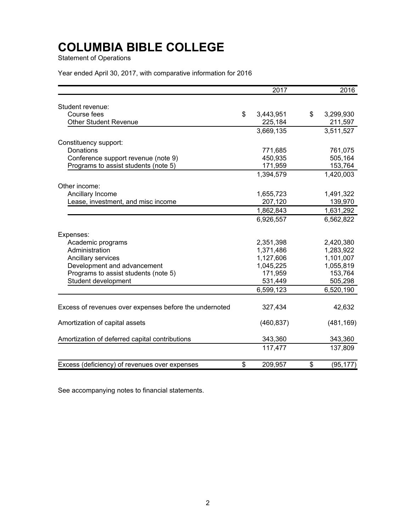Statement of Operations

Year ended April 30, 2017, with comparative information for 2016

|                                                        | 2017            | 2016            |
|--------------------------------------------------------|-----------------|-----------------|
| Student revenue:                                       |                 |                 |
| Course fees                                            | \$<br>3,443,951 | \$<br>3,299,930 |
| <b>Other Student Revenue</b>                           | 225,184         | 211,597         |
|                                                        | 3,669,135       | 3,511,527       |
| Constituency support:                                  |                 |                 |
| Donations                                              | 771,685         | 761,075         |
| Conference support revenue (note 9)                    | 450,935         | 505,164         |
| Programs to assist students (note 5)                   | 171,959         | 153,764         |
|                                                        | 1,394,579       | 1,420,003       |
| Other income:                                          |                 |                 |
| Ancillary Income                                       | 1,655,723       | 1,491,322       |
| Lease, investment, and misc income                     | 207,120         | 139,970         |
|                                                        | 1,862,843       | 1,631,292       |
|                                                        | 6,926,557       | 6,562,822       |
| Expenses:                                              |                 |                 |
| Academic programs                                      | 2,351,398       | 2,420,380       |
| Administration                                         | 1,371,486       | 1,283,922       |
| Ancillary services                                     | 1,127,606       | 1,101,007       |
| Development and advancement                            | 1,045,225       | 1,055,819       |
| Programs to assist students (note 5)                   | 171,959         | 153,764         |
| Student development                                    | 531,449         | 505,298         |
|                                                        | 6,599,123       | 6,520,190       |
|                                                        |                 |                 |
| Excess of revenues over expenses before the undernoted | 327,434         | 42,632          |
| Amortization of capital assets                         | (460, 837)      | (481, 169)      |
| Amortization of deferred capital contributions         | 343,360         | 343,360         |
|                                                        | 117,477         | 137,809         |
| Excess (deficiency) of revenues over expenses          | \$<br>209,957   | \$<br>(95, 177) |

See accompanying notes to financial statements.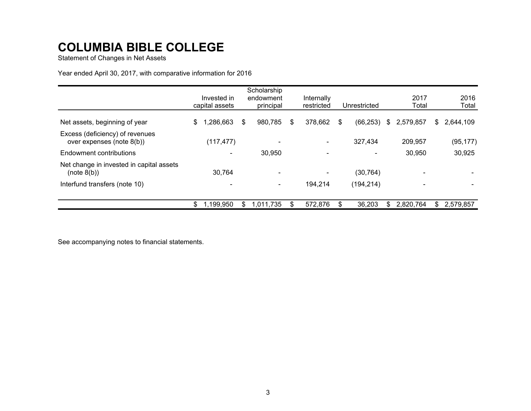Statement of Changes in Net Assets

Year ended April 30, 2017, with comparative information for 2016

|                                                              | Invested in<br>capital assets |    | Scholarship<br>endowment<br>principal |   | Internally<br>restricted | Unrestricted             |    | 2017<br>Total |     | 2016<br>Total |
|--------------------------------------------------------------|-------------------------------|----|---------------------------------------|---|--------------------------|--------------------------|----|---------------|-----|---------------|
| Net assets, beginning of year                                | \$<br>,286,663                | S  | 980,785                               | S | 378,662                  | \$<br>(66, 253)          | \$ | 2,579,857     | \$. | 2,644,109     |
| Excess (deficiency) of revenues<br>over expenses (note 8(b)) | (117, 477)                    |    | $\overline{\phantom{a}}$              |   |                          | 327,434                  |    | 209,957       |     | (95, 177)     |
| Endowment contributions                                      |                               |    | 30,950                                |   |                          | $\overline{\phantom{a}}$ |    | 30,950        |     | 30,925        |
| Net change in invested in capital assets<br>(note 8(b))      | 30,764                        |    | $\blacksquare$                        |   | -                        | (30, 764)                |    |               |     |               |
| Interfund transfers (note 10)                                |                               |    | $\blacksquare$                        |   | 194,214                  | (194, 214)               |    |               |     |               |
|                                                              | \$<br>1,199,950               | \$ | 1,011,735                             | S | 572,876                  | \$<br>36,203             | S. | 2,820,764     | S   | 2,579,857     |

See accompanying notes to financial statements.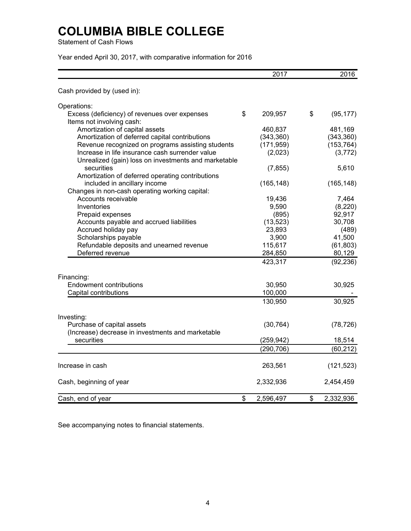Statement of Cash Flows

Year ended April 30, 2017, with comparative information for 2016

|                                                      | 2017            | 2016            |
|------------------------------------------------------|-----------------|-----------------|
| Cash provided by (used in):                          |                 |                 |
| Operations:                                          |                 |                 |
| Excess (deficiency) of revenues over expenses        | \$<br>209,957   | \$<br>(95, 177) |
| Items not involving cash:                            |                 |                 |
| Amortization of capital assets                       | 460,837         | 481,169         |
| Amortization of deferred capital contributions       | (343, 360)      | (343, 360)      |
| Revenue recognized on programs assisting students    | (171, 959)      | (153, 764)      |
| Increase in life insurance cash surrender value      | (2,023)         | (3,772)         |
| Unrealized (gain) loss on investments and marketable |                 |                 |
| securities                                           | (7, 855)        | 5,610           |
| Amortization of deferred operating contributions     |                 |                 |
| included in ancillary income                         | (165, 148)      | (165, 148)      |
| Changes in non-cash operating working capital:       |                 |                 |
| Accounts receivable                                  | 19,436          | 7,464           |
| Inventories                                          | 9,590           | (8, 220)        |
| Prepaid expenses                                     | (895)           | 92,917          |
| Accounts payable and accrued liabilities             | (13, 523)       | 30,708          |
| Accrued holiday pay                                  | 23,893          | (489)           |
| Scholarships payable                                 | 3,900           | 41,500          |
| Refundable deposits and unearned revenue             | 115,617         | (61, 803)       |
| Deferred revenue                                     | 284,850         | 80,129          |
|                                                      | 423,317         | (92, 236)       |
| Financing:                                           |                 |                 |
| <b>Endowment contributions</b>                       | 30,950          | 30,925          |
| Capital contributions                                | 100,000         |                 |
|                                                      | 130,950         | 30,925          |
| Investing:                                           |                 |                 |
| Purchase of capital assets                           | (30, 764)       | (78, 726)       |
| (Increase) decrease in investments and marketable    |                 |                 |
| securities                                           | (259, 942)      | 18,514          |
|                                                      | (290, 706)      | (60, 212)       |
|                                                      |                 |                 |
| Increase in cash                                     | 263,561         | (121, 523)      |
| Cash, beginning of year                              | 2,332,936       | 2,454,459       |
|                                                      |                 |                 |
| Cash, end of year                                    | \$<br>2,596,497 | \$<br>2,332,936 |

See accompanying notes to financial statements.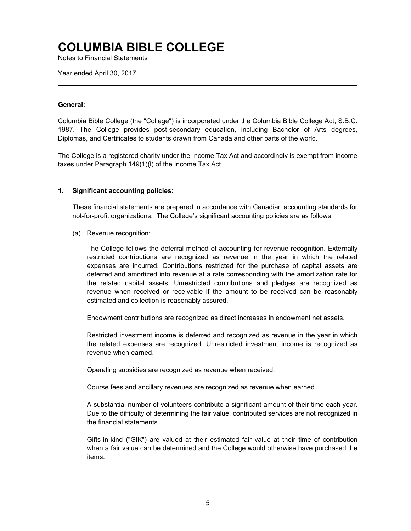Notes to Financial Statements

Year ended April 30, 2017

#### **General:**

Columbia Bible College (the "College") is incorporated under the Columbia Bible College Act, S.B.C. 1987. The College provides post-secondary education, including Bachelor of Arts degrees, Diplomas, and Certificates to students drawn from Canada and other parts of the world.

The College is a registered charity under the Income Tax Act and accordingly is exempt from income taxes under Paragraph 149(1)(l) of the Income Tax Act.

#### **1. Significant accounting policies:**

These financial statements are prepared in accordance with Canadian accounting standards for not-for-profit organizations. The College's significant accounting policies are as follows:

(a) Revenue recognition:

The College follows the deferral method of accounting for revenue recognition. Externally restricted contributions are recognized as revenue in the year in which the related expenses are incurred. Contributions restricted for the purchase of capital assets are deferred and amortized into revenue at a rate corresponding with the amortization rate for the related capital assets. Unrestricted contributions and pledges are recognized as revenue when received or receivable if the amount to be received can be reasonably estimated and collection is reasonably assured.

Endowment contributions are recognized as direct increases in endowment net assets.

Restricted investment income is deferred and recognized as revenue in the year in which the related expenses are recognized. Unrestricted investment income is recognized as revenue when earned.

Operating subsidies are recognized as revenue when received.

Course fees and ancillary revenues are recognized as revenue when earned.

A substantial number of volunteers contribute a significant amount of their time each year. Due to the difficulty of determining the fair value, contributed services are not recognized in the financial statements.

Gifts-in-kind ("GIK") are valued at their estimated fair value at their time of contribution when a fair value can be determined and the College would otherwise have purchased the items.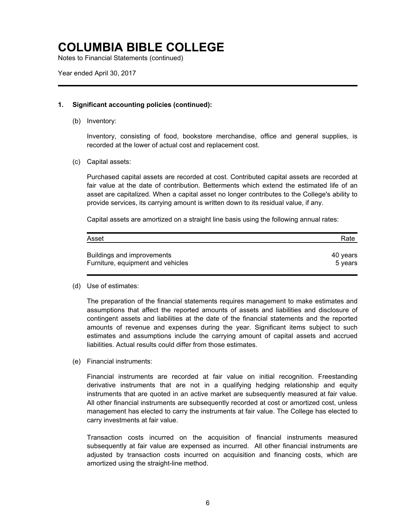Notes to Financial Statements (continued)

Year ended April 30, 2017

#### **1. Significant accounting policies (continued):**

(b) Inventory:

Inventory, consisting of food, bookstore merchandise, office and general supplies, is recorded at the lower of actual cost and replacement cost.

(c) Capital assets:

Purchased capital assets are recorded at cost. Contributed capital assets are recorded at fair value at the date of contribution. Betterments which extend the estimated life of an asset are capitalized. When a capital asset no longer contributes to the College's ability to provide services, its carrying amount is written down to its residual value, if any.

Capital assets are amortized on a straight line basis using the following annual rates:

| Asset                             | Rate     |
|-----------------------------------|----------|
| Buildings and improvements        | 40 years |
| Furniture, equipment and vehicles | 5 years  |

(d) Use of estimates:

The preparation of the financial statements requires management to make estimates and assumptions that affect the reported amounts of assets and liabilities and disclosure of contingent assets and liabilities at the date of the financial statements and the reported amounts of revenue and expenses during the year. Significant items subject to such estimates and assumptions include the carrying amount of capital assets and accrued liabilities. Actual results could differ from those estimates.

(e) Financial instruments:

Financial instruments are recorded at fair value on initial recognition. Freestanding derivative instruments that are not in a qualifying hedging relationship and equity instruments that are quoted in an active market are subsequently measured at fair value. All other financial instruments are subsequently recorded at cost or amortized cost, unless management has elected to carry the instruments at fair value. The College has elected to carry investments at fair value.

Transaction costs incurred on the acquisition of financial instruments measured subsequently at fair value are expensed as incurred. All other financial instruments are adjusted by transaction costs incurred on acquisition and financing costs, which are amortized using the straight-line method.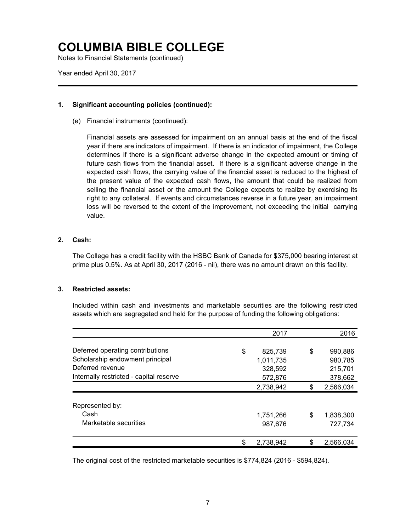Notes to Financial Statements (continued)

Year ended April 30, 2017

#### **1. Significant accounting policies (continued):**

(e) Financial instruments (continued):

Financial assets are assessed for impairment on an annual basis at the end of the fiscal year if there are indicators of impairment. If there is an indicator of impairment, the College determines if there is a significant adverse change in the expected amount or timing of future cash flows from the financial asset. If there is a significant adverse change in the expected cash flows, the carrying value of the financial asset is reduced to the highest of the present value of the expected cash flows, the amount that could be realized from selling the financial asset or the amount the College expects to realize by exercising its right to any collateral. If events and circumstances reverse in a future year, an impairment loss will be reversed to the extent of the improvement, not exceeding the initial carrying value.

#### **2. Cash:**

The College has a credit facility with the HSBC Bank of Canada for \$375,000 bearing interest at prime plus 0.5%. As at April 30, 2017 (2016 - nil), there was no amount drawn on this facility.

#### **3. Restricted assets:**

Included within cash and investments and marketable securities are the following restricted assets which are segregated and held for the purpose of funding the following obligations:

|                                         | 2017          |    | 2016      |
|-----------------------------------------|---------------|----|-----------|
|                                         |               |    |           |
| Deferred operating contributions        | \$<br>825,739 | \$ | 990,886   |
| Scholarship endowment principal         | 1,011,735     |    | 980,785   |
| Deferred revenue                        | 328,592       |    | 215,701   |
| Internally restricted - capital reserve | 572,876       |    | 378,662   |
|                                         | 2,738,942     | S  | 2,566,034 |
|                                         |               |    |           |
| Represented by:                         |               |    |           |
| Cash                                    | 1,751,266     | \$ | 1,838,300 |
| Marketable securities                   | 987,676       |    | 727,734   |
|                                         | 2,738,942     |    | 2.566.034 |

The original cost of the restricted marketable securities is \$774,824 (2016 - \$594,824).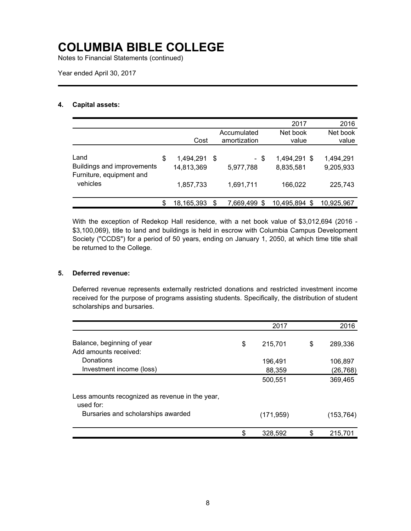Notes to Financial Statements (continued)

Year ended April 30, 2017

#### **4. Capital assets:**

|                                                        |                 |     |                             |      | 2017              | 2016              |
|--------------------------------------------------------|-----------------|-----|-----------------------------|------|-------------------|-------------------|
|                                                        | Cost            |     | Accumulated<br>amortization |      | Net book<br>value | Net book<br>value |
|                                                        |                 |     |                             |      |                   |                   |
| Land                                                   | \$<br>1,494,291 | \$. |                             | - \$ | 1,494,291 \$      | 1,494,291         |
| Buildings and improvements<br>Furniture, equipment and | 14,813,369      |     | 5,977,788                   |      | 8,835,581         | 9,205,933         |
| vehicles                                               | 1,857,733       |     | 1,691,711                   |      | 166,022           | 225,743           |
|                                                        | 18,165,393      | \$  | 7,669,499                   | S    | 10,495,894 \$     | 10,925,967        |

With the exception of Redekop Hall residence, with a net book value of \$3,012,694 (2016 - \$3,100,069), title to land and buildings is held in escrow with Columbia Campus Development Society ("CCDS") for a period of 50 years, ending on January 1, 2050, at which time title shall be returned to the College.

#### **5. Deferred revenue:**

Deferred revenue represents externally restricted donations and restricted investment income received for the purpose of programs assisting students. Specifically, the distribution of student scholarships and bursaries.

|                                                              | 2017          | 2016          |
|--------------------------------------------------------------|---------------|---------------|
| Balance, beginning of year                                   | \$<br>215,701 | \$<br>289,336 |
| Add amounts received:                                        |               |               |
| Donations                                                    | 196,491       | 106,897       |
| Investment income (loss)                                     | 88,359        | (26,768)      |
|                                                              | 500,551       | 369,465       |
| Less amounts recognized as revenue in the year,<br>used for: |               |               |
| Bursaries and scholarships awarded                           | (171, 959)    | (153, 764)    |
|                                                              | \$<br>328,592 | \$<br>215,701 |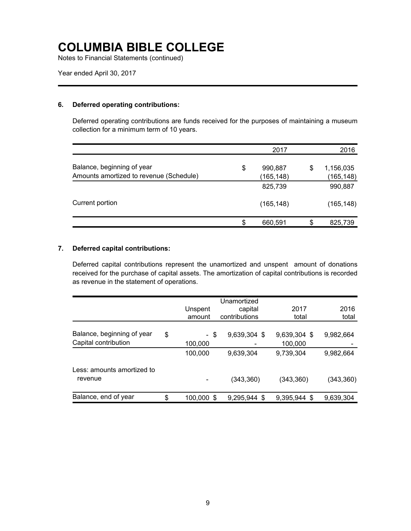Notes to Financial Statements (continued)

#### **6. Deferred operating contributions:**

Deferred operating contributions are funds received for the purposes of maintaining a museum collection for a minimum term of 10 years.

|                                                                       | 2017                       |    | 2016                    |
|-----------------------------------------------------------------------|----------------------------|----|-------------------------|
| Balance, beginning of year<br>Amounts amortized to revenue (Schedule) | \$<br>990,887<br>(165,148) | \$ | 1,156,035<br>(165, 148) |
|                                                                       | 825,739                    |    | 990,887                 |
| Current portion                                                       | (165, 148)                 |    | (165, 148)              |
|                                                                       | \$<br>660,591              | S  | 825,739                 |

#### **7. Deferred capital contributions:**

Deferred capital contributions represent the unamortized and unspent amount of donations received for the purchase of capital assets. The amortization of capital contributions is recorded as revenue in the statement of operations.

|                                                    | Unspent<br>amount    | Unamortized<br>capital<br>contributions | 2017<br>total           | 2016<br>total |
|----------------------------------------------------|----------------------|-----------------------------------------|-------------------------|---------------|
| Balance, beginning of year<br>Capital contribution | \$<br>-\$<br>100,000 | 9,639,304 \$                            | 9,639,304 \$<br>100,000 | 9,982,664     |
|                                                    | 100,000              | 9,639,304                               | 9,739,304               | 9,982,664     |
| Less: amounts amortized to<br>revenue              |                      | (343, 360)                              | (343,360)               | (343, 360)    |
| Balance, end of year                               | \$<br>100,000 \$     | 9,295,944 \$                            | 9,395,944 \$            | 9,639,304     |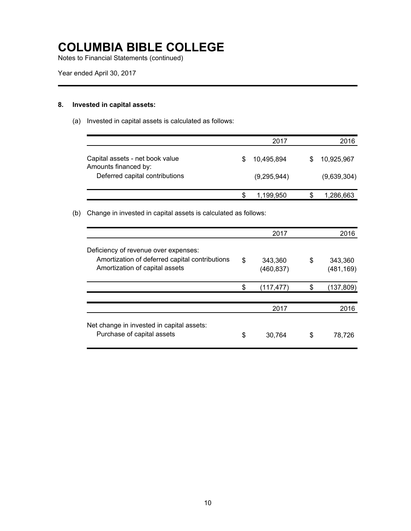Notes to Financial Statements (continued)

#### **8. Invested in capital assets:**

(a) Invested in capital assets is calculated as follows:

|                                                         |   | 2017        | 2016        |
|---------------------------------------------------------|---|-------------|-------------|
| Capital assets - net book value<br>Amounts financed by: | S | 10.495.894  | 10,925,967  |
| Deferred capital contributions                          |   | (9,295,944) | (9,639,304) |
|                                                         |   | 1,199,950   | 1,286,663   |

#### (b) Change in invested in capital assets is calculated as follows:

|                                                                                                                          | 2017                        |    | 2016                  |
|--------------------------------------------------------------------------------------------------------------------------|-----------------------------|----|-----------------------|
| Deficiency of revenue over expenses:<br>Amortization of deferred capital contributions<br>Amortization of capital assets | \$<br>343,360<br>(460, 837) | S  | 343,360<br>(481, 169) |
|                                                                                                                          | \$<br>(117,477)             | \$ | (137,809)             |
|                                                                                                                          |                             |    |                       |
|                                                                                                                          | 2017                        |    | 2016                  |
| Net change in invested in capital assets:<br>Purchase of capital assets                                                  | \$<br>30,764                | S  | 78,726                |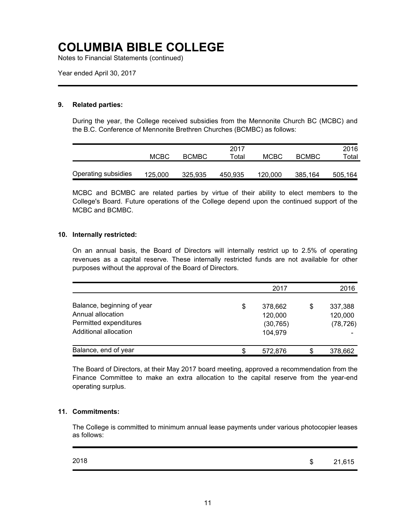Notes to Financial Statements (continued)

Year ended April 30, 2017

#### **9. Related parties:**

During the year, the College received subsidies from the Mennonite Church BC (MCBC) and the B.C. Conference of Mennonite Brethren Churches (BCMBC) as follows:

|                     |         | 2017         |         |             |              |         |  |
|---------------------|---------|--------------|---------|-------------|--------------|---------|--|
|                     | MCBC    | <b>BCMBC</b> | Total   | <b>MCBC</b> | <b>BCMBC</b> | Total   |  |
|                     |         |              |         |             |              |         |  |
| Operating subsidies | 125,000 | 325.935      | 450,935 | 120,000     | 385,164      | 505,164 |  |

MCBC and BCMBC are related parties by virtue of their ability to elect members to the College's Board. Future operations of the College depend upon the continued support of the MCBC and BCMBC.

#### **10. Internally restricted:**

On an annual basis, the Board of Directors will internally restrict up to 2.5% of operating revenues as a capital reserve. These internally restricted funds are not available for other purposes without the approval of the Board of Directors.

|                                                                                                    | 2017                                             |   | 2016                            |
|----------------------------------------------------------------------------------------------------|--------------------------------------------------|---|---------------------------------|
| Balance, beginning of year<br>Annual allocation<br>Permitted expenditures<br>Additional allocation | \$<br>378,662<br>120,000<br>(30, 765)<br>104,979 | S | 337,388<br>120,000<br>(78, 726) |
| Balance, end of year                                                                               | 572,876                                          |   | 378,662                         |

The Board of Directors, at their May 2017 board meeting, approved a recommendation from the Finance Committee to make an extra allocation to the capital reserve from the year-end operating surplus.

#### **11. Commitments:**

The College is committed to minimum annual lease payments under various photocopier leases as follows:

| 2018 |  | \$ 21,615 |
|------|--|-----------|
|------|--|-----------|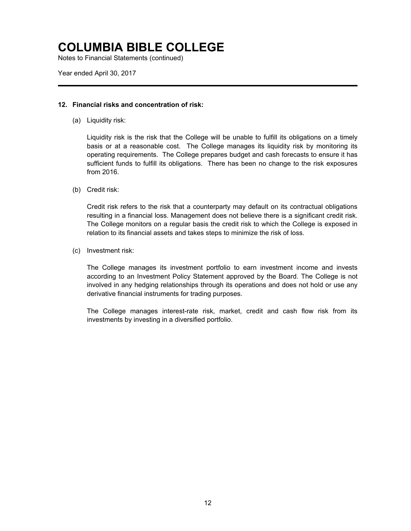Notes to Financial Statements (continued)

Year ended April 30, 2017

#### **12. Financial risks and concentration of risk:**

(a) Liquidity risk:

Liquidity risk is the risk that the College will be unable to fulfill its obligations on a timely basis or at a reasonable cost. The College manages its liquidity risk by monitoring its operating requirements. The College prepares budget and cash forecasts to ensure it has sufficient funds to fulfill its obligations. There has been no change to the risk exposures from 2016.

(b) Credit risk:

Credit risk refers to the risk that a counterparty may default on its contractual obligations resulting in a financial loss. Management does not believe there is a significant credit risk. The College monitors on a regular basis the credit risk to which the College is exposed in relation to its financial assets and takes steps to minimize the risk of loss.

(c) Investment risk:

The College manages its investment portfolio to earn investment income and invests according to an Investment Policy Statement approved by the Board. The College is not involved in any hedging relationships through its operations and does not hold or use any derivative financial instruments for trading purposes.

The College manages interest-rate risk, market, credit and cash flow risk from its investments by investing in a diversified portfolio.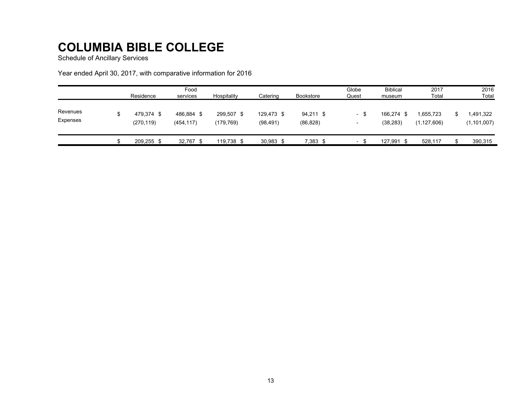Schedule of Ancillary Services

Year ended April 30, 2017, with comparative information for 2016

|                      | Residence                | Food<br>services         | Hospitality              | Catering                | Bookstore              | Globe<br>Quest | <b>Biblical</b><br>museum | 2017<br>Total            | 2016<br>Total             |
|----------------------|--------------------------|--------------------------|--------------------------|-------------------------|------------------------|----------------|---------------------------|--------------------------|---------------------------|
| Revenues<br>Expenses | 479,374 \$<br>(270, 119) | 486,884 \$<br>(454, 117) | 299,507 \$<br>(179, 769) | 129,473 \$<br>(98, 491) | 94,211 \$<br>(86, 828) | - \$           | 166.274 \$<br>(38, 283)   | 655,723<br>(1, 127, 606) | .491,322<br>(1, 101, 007) |
|                      | 209,255 \$               | 32,767 \$                | 119,738 \$               | $30,983$ \$             | 7,383 \$               |                | 127,991                   | 528,117                  | 390,315                   |